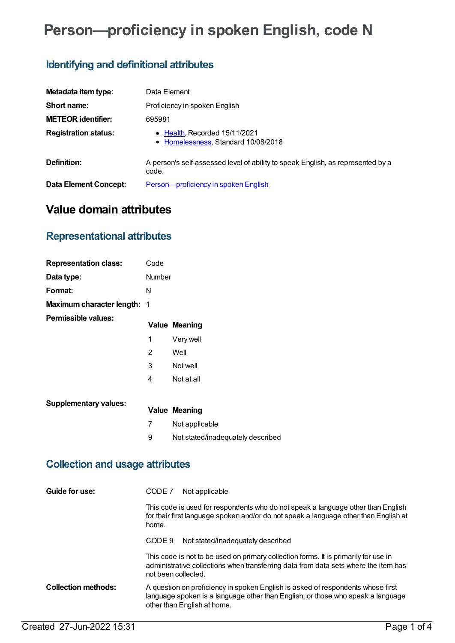# **Person—proficiency in spoken English, code N**

# **Identifying and definitional attributes**

| Metadata item type:         | Data Element                                                                             |
|-----------------------------|------------------------------------------------------------------------------------------|
| Short name:                 | Proficiency in spoken English                                                            |
| <b>METEOR identifier:</b>   | 695981                                                                                   |
| <b>Registration status:</b> | • Health, Recorded 15/11/2021<br>• Homelessness, Standard 10/08/2018                     |
| Definition:                 | A person's self-assessed level of ability to speak English, as represented by a<br>code. |
| Data Element Concept:       | Person-proficiency in spoken English                                                     |

## **Value domain attributes**

### **Representational attributes**

| <b>Representation class:</b> | Code           |                                   |
|------------------------------|----------------|-----------------------------------|
| Data type:                   | <b>Number</b>  |                                   |
| Format:                      | N              |                                   |
| Maximum character length: 1  |                |                                   |
| Permissible values:          |                | <b>Value Meaning</b>              |
|                              | 1              | Very well                         |
|                              | $\overline{2}$ | Well                              |
|                              | 3              | Not well                          |
|                              | 4              | Not at all                        |
|                              |                |                                   |
| <b>Supplementary values:</b> |                | <b>Value Meaning</b>              |
|                              | 7              | Not applicable                    |
|                              | 9              | Not stated/inadequately described |
|                              |                |                                   |

### **Collection and usage attributes**

| Guide for use:             | Not applicable<br>CODE 7                                                                                                                                                                          |
|----------------------------|---------------------------------------------------------------------------------------------------------------------------------------------------------------------------------------------------|
|                            | This code is used for respondents who do not speak a language other than English<br>for their first language spoken and/or do not speak a language other than English at<br>home.                 |
|                            | Not stated/inadequately described<br>CODE 9                                                                                                                                                       |
|                            | This code is not to be used on primary collection forms. It is primarily for use in<br>administrative collections when transferring data from data sets where the item has<br>not been collected. |
| <b>Collection methods:</b> | A question on proficiency in spoken English is asked of respondents whose first<br>language spoken is a language other than English, or those who speak a language<br>other than English at home. |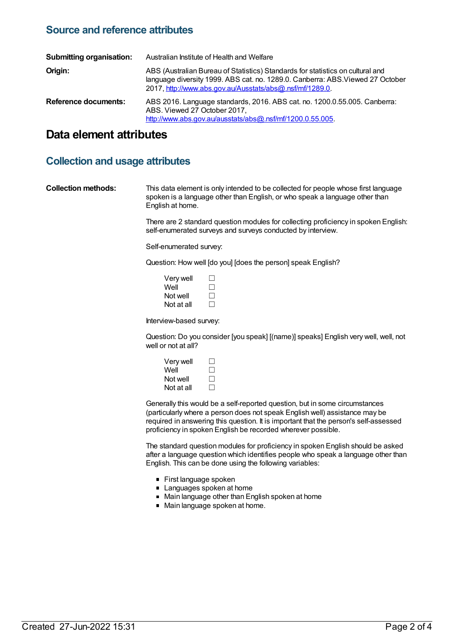#### **Source and reference attributes**

| <b>Submitting organisation:</b> | Australian Institute of Health and Welfare                                                                                                                                                                                   |
|---------------------------------|------------------------------------------------------------------------------------------------------------------------------------------------------------------------------------------------------------------------------|
| Origin:                         | ABS (Australian Bureau of Statistics) Standards for statistics on cultural and<br>language diversity 1999. ABS cat. no. 1289.0. Canberra: ABS. Viewed 27 October<br>2017, http://www.abs.gov.au/Ausstats/abs@.nsf/mf/1289.0. |
| <b>Reference documents:</b>     | ABS 2016. Language standards, 2016. ABS cat. no. 1200.0.55.005. Canberra:<br>ABS. Viewed 27 October 2017.<br>http://www.abs.gov.au/ausstats/abs@.nsf/mf/1200.0.55.005                                                        |

#### **Data element attributes**

#### **Collection and usage attributes**

**Collection methods:** This data element is only intended to be collected for people whose first language spoken is a language other than English, or who speak a language other than English at home.

> There are 2 standard question modules for collecting proficiency in spoken English: self-enumerated surveys and surveys conducted by interview.

Self-enumerated survey:

Question: How well [do you] [does the person] speak English?

| $\perp$ |
|---------|
| $\perp$ |
| $\perp$ |
|         |

Interview-based survey:

Question: Do you consider [you speak] [(name)] speaks] English very well, well, not well or not at all?

| $\perp$      |
|--------------|
| $\perp$      |
| $\perp$      |
| $\mathbf{1}$ |
|              |

Generally this would be a self-reported question, but in some circumstances (particularly where a person does not speak English well) assistance may be required in answering this question. It is important that the person's self-assessed proficiency in spoken English be recorded wherever possible.

The standard question modules for proficiency in spoken English should be asked after a language question which identifies people who speak a language other than English. This can be done using the following variables:

- First language spoken
- **Languages spoken at home**
- Main language other than English spoken at home
- Main language spoken at home.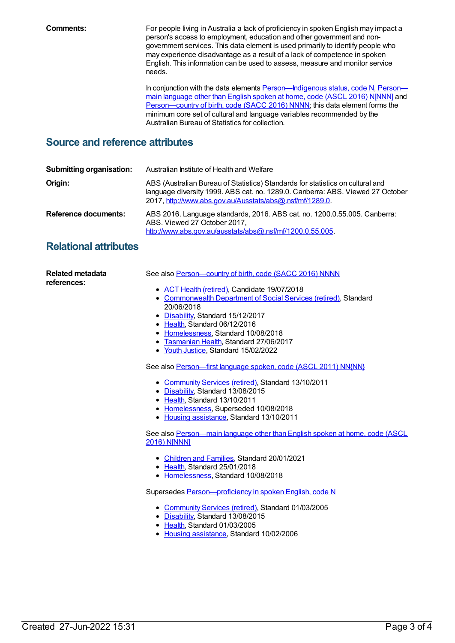**Comments:** For people living in Australia a lack of proficiency in spoken English may impact a person's access to employment, education and other government and nongovernment services. This data element is used primarily to identify people who may experience disadvantage as a result of a lack of competence in spoken English. This information can be used to assess, measure and monitor service needs.

> In conjunction with the data elements **[Person—Indigenous](file:///content/659402) status, code N, Person** main language other than English spoken at home, code (ASCL 2016) N[NNN] and [Person—country](file:///content/659454) of birth, code (SACC 2016) NNNN; this data element forms the minimum core set of cultural and language variables recommended by the Australian Bureau of Statistics for collection.

#### **Source and reference attributes**

| <b>Submitting organisation:</b> | Australian Institute of Health and Welfare                                                                                                                                                                                   |
|---------------------------------|------------------------------------------------------------------------------------------------------------------------------------------------------------------------------------------------------------------------------|
| Origin:                         | ABS (Australian Bureau of Statistics) Standards for statistics on cultural and<br>language diversity 1999. ABS cat. no. 1289.0. Canberra: ABS. Viewed 27 October<br>2017, http://www.abs.gov.au/Ausstats/abs@.nsf/mf/1289.0. |
| Reference documents:            | ABS 2016. Language standards, 2016. ABS cat. no. 1200.0.55.005. Canberra:<br>ABS. Viewed 27 October 2017,<br>http://www.abs.gov.au/ausstats/abs@.nsf/mf/1200.0.55.005.                                                       |

#### **Relational attributes**

| <b>Related metadata</b><br>references: | See also Person-country of birth, code (SACC 2016) NNNN                     |
|----------------------------------------|-----------------------------------------------------------------------------|
|                                        | • ACT Health (retired), Candidate 19/07/2018                                |
|                                        | • Commonwealth Department of Social Services (retired), Standard            |
|                                        | 20/06/2018                                                                  |
|                                        | • Disability, Standard 15/12/2017                                           |
|                                        | • Health, Standard 06/12/2016                                               |
|                                        | • Homelessness, Standard 10/08/2018                                         |
|                                        | • Tasmanian Health, Standard 27/06/2017                                     |
|                                        | • Youth Justice, Standard 15/02/2022                                        |
|                                        | See also Person-first language spoken, code (ASCL 2011) NN{NN}              |
|                                        | • Community Services (retired), Standard 13/10/2011                         |
|                                        | • Disability, Standard 13/08/2015                                           |
|                                        | • Health, Standard 13/10/2011                                               |
|                                        | • Homelessness, Superseded 10/08/2018                                       |
|                                        | • Housing assistance, Standard 13/10/2011                                   |
|                                        | See also Person—main language other than English spoken at home, code (ASCL |
|                                        | <b>2016) NJNNN1</b>                                                         |
|                                        | • Children and Families, Standard 20/01/2021                                |
|                                        | • Health, Standard 25/01/2018                                               |
|                                        | • Homelessness, Standard 10/08/2018                                         |
|                                        | Supersedes Person-proficiency in spoken English, code N                     |
|                                        | • Community Services (retired), Standard 01/03/2005                         |
|                                        | • Disability, Standard 13/08/2015                                           |
|                                        | • Health, Standard 01/03/2005                                               |
|                                        | • Housing assistance, Standard 10/02/2006                                   |
|                                        |                                                                             |
|                                        |                                                                             |